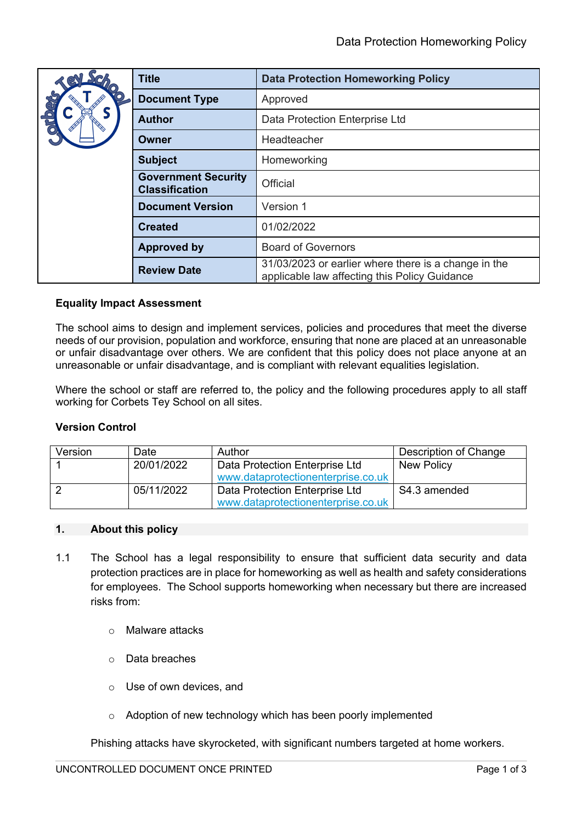| <b>Set</b><br>R         | <b>Title</b>                                        | <b>Data Protection Homeworking Policy</b>                                                             |  |
|-------------------------|-----------------------------------------------------|-------------------------------------------------------------------------------------------------------|--|
| <b>Propo</b><br>$\odot$ | <b>Document Type</b>                                | Approved                                                                                              |  |
|                         | <b>Author</b>                                       | Data Protection Enterprise Ltd                                                                        |  |
|                         | Owner                                               | Headteacher                                                                                           |  |
|                         | <b>Subject</b>                                      | Homeworking                                                                                           |  |
|                         | <b>Government Security</b><br><b>Classification</b> | Official                                                                                              |  |
|                         | <b>Document Version</b>                             | Version 1                                                                                             |  |
|                         | <b>Created</b>                                      | 01/02/2022                                                                                            |  |
|                         | <b>Approved by</b>                                  | <b>Board of Governors</b>                                                                             |  |
|                         | <b>Review Date</b>                                  | 31/03/2023 or earlier where there is a change in the<br>applicable law affecting this Policy Guidance |  |

# **Equality Impact Assessment**

The school aims to design and implement services, policies and procedures that meet the diverse needs of our provision, population and workforce, ensuring that none are placed at an unreasonable or unfair disadvantage over others. We are confident that this policy does not place anyone at an unreasonable or unfair disadvantage, and is compliant with relevant equalities legislation.

Where the school or staff are referred to, the policy and the following procedures apply to all staff working for Corbets Tey School on all sites.

## **Version Control**

| Version | Date       | Author                             | Description of Change |
|---------|------------|------------------------------------|-----------------------|
|         | 20/01/2022 | Data Protection Enterprise Ltd     | <b>New Policy</b>     |
|         |            | www.dataprotectionenterprise.co.uk |                       |
|         | 05/11/2022 | Data Protection Enterprise Ltd     | S4.3 amended          |
|         |            | www.dataprotectionenterprise.co.uk |                       |

## **1. About this policy**

- 1.1 The School has a legal responsibility to ensure that sufficient data security and data protection practices are in place for homeworking as well as health and safety considerations for employees. The School supports homeworking when necessary but there are increased risks from:
	- o Malware attacks
	- o Data breaches
	- o Use of own devices, and
	- o Adoption of new technology which has been poorly implemented

Phishing attacks have skyrocketed, with significant numbers targeted at home workers.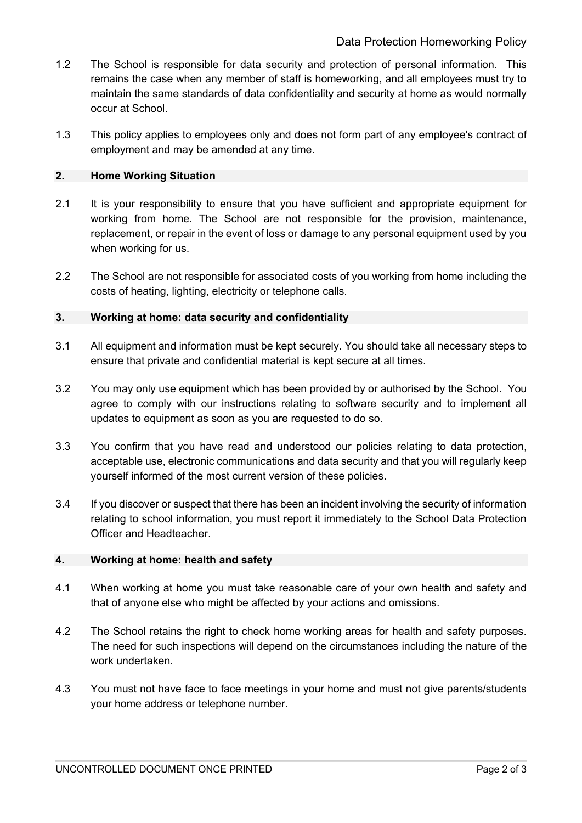- 1.2 The School is responsible for data security and protection of personal information. This remains the case when any member of staff is homeworking, and all employees must try to maintain the same standards of data confidentiality and security at home as would normally occur at School.
- 1.3 This policy applies to employees only and does not form part of any employee's contract of employment and may be amended at any time.

## **2. Home Working Situation**

- 2.1 It is your responsibility to ensure that you have sufficient and appropriate equipment for working from home. The School are not responsible for the provision, maintenance, replacement, or repair in the event of loss or damage to any personal equipment used by you when working for us.
- 2.2 The School are not responsible for associated costs of you working from home including the costs of heating, lighting, electricity or telephone calls.

# **3. Working at home: data security and confidentiality**

- 3.1 All equipment and information must be kept securely. You should take all necessary steps to ensure that private and confidential material is kept secure at all times.
- 3.2 You may only use equipment which has been provided by or authorised by the School. You agree to comply with our instructions relating to software security and to implement all updates to equipment as soon as you are requested to do so.
- 3.3 You confirm that you have read and understood our policies relating to data protection, acceptable use, electronic communications and data security and that you will regularly keep yourself informed of the most current version of these policies.
- 3.4 If you discover or suspect that there has been an incident involving the security of information relating to school information, you must report it immediately to the School Data Protection Officer and Headteacher.

## **4. Working at home: health and safety**

- 4.1 When working at home you must take reasonable care of your own health and safety and that of anyone else who might be affected by your actions and omissions.
- 4.2 The School retains the right to check home working areas for health and safety purposes. The need for such inspections will depend on the circumstances including the nature of the work undertaken.
- 4.3 You must not have face to face meetings in your home and must not give parents/students your home address or telephone number.